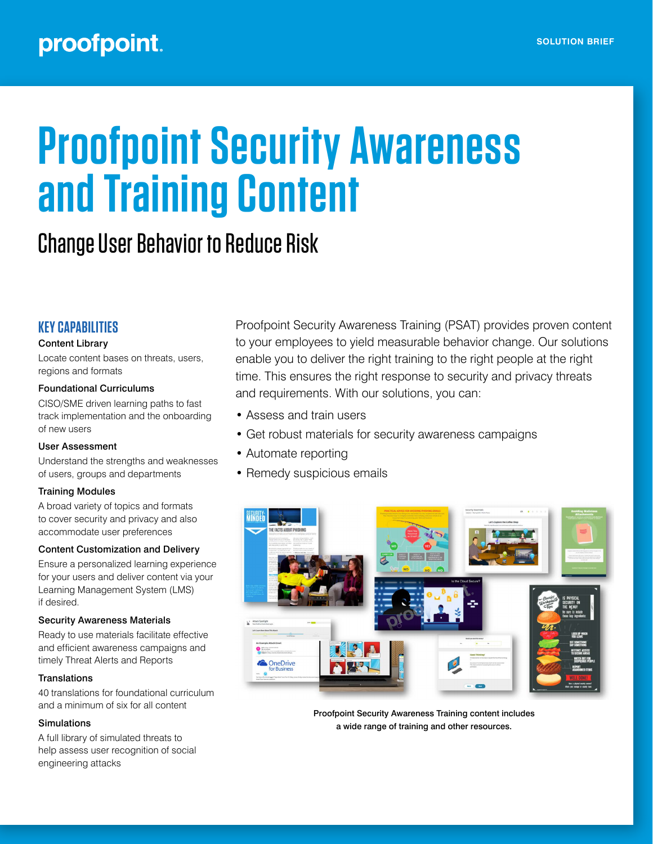# proofpoint.

# **Proofpoint Security Awareness and Training Content**

# Change User Behavior to Reduce Risk

# **KEY CAPABILITIES**

# Content Library

Locate content bases on threats, users, regions and formats

### Foundational Curriculums

CISO/SME driven learning paths to fast track implementation and the onboarding of new users

# User Assessment

Understand the strengths and weaknesses of users, groups and departments

# Training Modules

A broad variety of topics and formats to cover security and privacy and also accommodate user preferences

### Content Customization and Delivery

Ensure a personalized learning experience for your users and deliver content via your Learning Management System (LMS) if desired.

### Security Awareness Materials

Ready to use materials facilitate effective and efficient awareness campaigns and timely Threat Alerts and Reports

### **Translations**

40 translations for foundational curriculum and a minimum of six for all content

### Simulations

A full library of simulated threats to help assess user recognition of social engineering attacks

Proofpoint Security Awareness Training (PSAT) provides proven content to your employees to yield measurable behavior change. Our solutions enable you to deliver the right training to the right people at the right time. This ensures the right response to security and privacy threats and requirements. With our solutions, you can:

- Assess and train users
- Get robust materials for security awareness campaigns
- Automate reporting
- Remedy suspicious emails



Proofpoint Security Awareness Training content includes a wide range of training and other resources.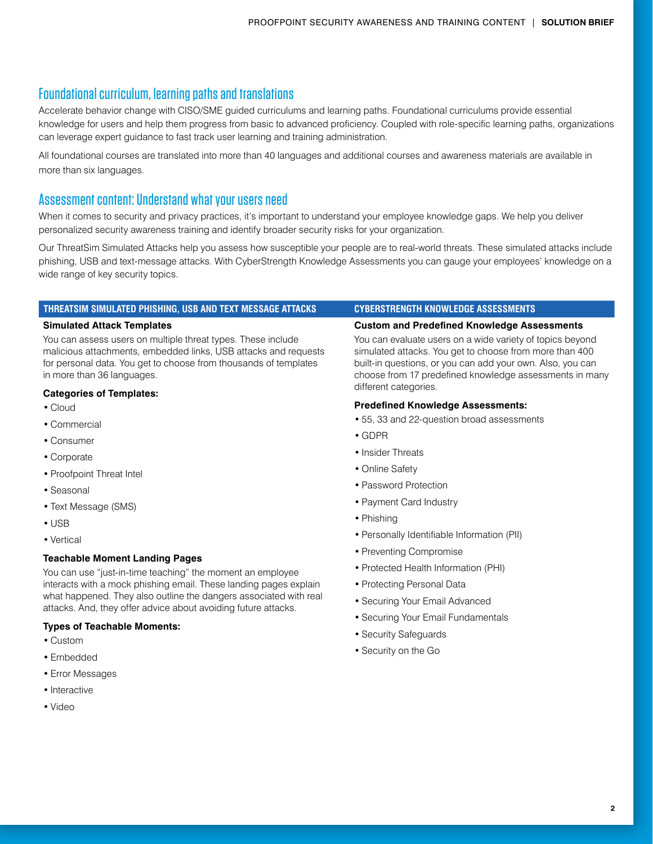# Foundational curriculum, learning paths and translations

Accelerate behavior change with CISO/SME guided curriculums and learning paths. Foundational curriculums provide essential knowledge for users and help them progress from basic to advanced proficiency. Coupled with role-specific learning paths, organizations can leverage expert guidance to fast track user learning and training administration.

All foundational courses are translated into more than 40 languages and additional courses and awareness materials are available in more than six languages.

# Assessment content: Understand what your users need

When it comes to security and privacy practices, it's important to understand your employee knowledge gaps. We help you deliver personalized security awareness training and identify broader security risks for your organization.

Our ThreatSim Simulated Attacks help you assess how susceptible your people are to real-world threats. These simulated attacks include phishing, USB and text-message attacks. With CyberStrength Knowledge Assessments you can gauge your employees' knowledge on a wide range of key security topics.

### **THREATSIM SIMULATED PHISHING, USB AND TEXT MESSAGE ATTACKS CYBERSTRENGTH KNOWLEDGE ASSESSMENTS**

### **Simulated Attack Templates**

You can assess users on multiple threat types. These include malicious attachments, embedded links, USB attacks and requests for personal data. You get to choose from thousands of templates in more than 36 languages.

# **Categories of Templates:**

- Cloud
- Commercial
- Consumer
- Corporate
- Proofpoint Threat Intel
- Seasonal
- Text Message (SMS)
- USB
- Vertical

# **Teachable Moment Landing Pages**

You can use "just-in-time teaching" the moment an employee interacts with a mock phishing email. These landing pages explain what happened. They also outline the dangers associated with real attacks. And, they offer advice about avoiding future attacks.

# **Types of Teachable Moments:**

- Custom
- Embedded
- Error Messages
- Interactive
- Video

### **Custom and Predefined Knowledge Assessments**

You can evaluate users on a wide variety of topics beyond simulated attacks. You get to choose from more than 400 built-in questions, or you can add your own. Also, you can choose from 17 predefined knowledge assessments in many different categories.

### **Predefined Knowledge Assessments:**

- 55, 33 and 22-question broad assessments
- GDPR
- Insider Threats
- Online Safety
- Password Protection
- Payment Card Industry
- Phishing
- Personally Identifiable Information (PII)
- Preventing Compromise
- Protected Health Information (PHI)
- Protecting Personal Data
- Securing Your Email Advanced
- Securing Your Email Fundamentals
- Security Safeguards
- Security on the Go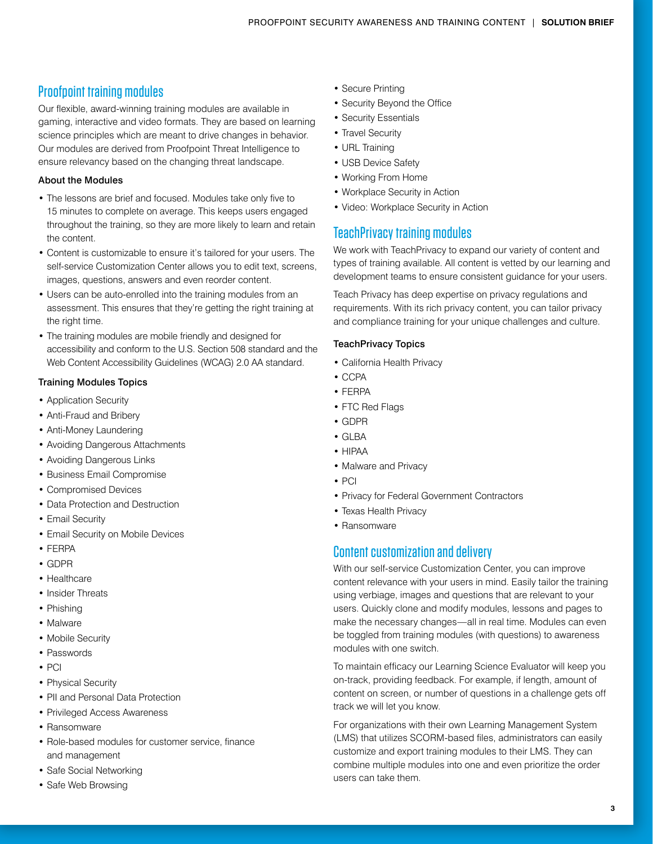# Proofpoint training modules

Our flexible, award-winning training modules are available in gaming, interactive and video formats. They are based on learning science principles which are meant to drive changes in behavior. Our modules are derived from Proofpoint Threat Intelligence to ensure relevancy based on the changing threat landscape.

# About the Modules

- The lessons are brief and focused. Modules take only five to 15 minutes to complete on average. This keeps users engaged throughout the training, so they are more likely to learn and retain the content.
- Content is customizable to ensure it's tailored for your users. The self-service Customization Center allows you to edit text, screens, images, questions, answers and even reorder content.
- Users can be auto-enrolled into the training modules from an assessment. This ensures that they're getting the right training at the right time.
- The training modules are mobile friendly and designed for accessibility and conform to the U.S. Section 508 standard and the Web Content Accessibility Guidelines (WCAG) 2.0 AA standard.

# Training Modules Topics

- Application Security
- Anti-Fraud and Bribery
- Anti-Money Laundering
- Avoiding Dangerous Attachments
- Avoiding Dangerous Links
- Business Email Compromise
- Compromised Devices
- Data Protection and Destruction
- Email Security
- Email Security on Mobile Devices
- FERPA
- GDPR
- Healthcare
- Insider Threats
- Phishing
- Malware
- Mobile Security
- Passwords
- PCI
- Physical Security
- PII and Personal Data Protection
- Privileged Access Awareness
- Ransomware
- Role-based modules for customer service, finance and management
- Safe Social Networking
- Safe Web Browsing
- Secure Printing
- Security Beyond the Office
- Security Essentials
- Travel Security
- URL Training
- USB Device Safety
- Working From Home
- Workplace Security in Action
- Video: Workplace Security in Action

# TeachPrivacy training modules

We work with TeachPrivacy to expand our variety of content and types of training available. All content is vetted by our learning and development teams to ensure consistent guidance for your users.

Teach Privacy has deep expertise on privacy regulations and requirements. With its rich privacy content, you can tailor privacy and compliance training for your unique challenges and culture.

# TeachPrivacy Topics

- California Health Privacy
- CCPA
- FERPA
- FTC Red Flags
- GDPR
- GLBA
- HIPAA
- Malware and Privacy
- PCI
- Privacy for Federal Government Contractors
- Texas Health Privacy
- Ransomware

# Content customization and delivery

With our self-service Customization Center, you can improve content relevance with your users in mind. Easily tailor the training using verbiage, images and questions that are relevant to your users. Quickly clone and modify modules, lessons and pages to make the necessary changes—all in real time. Modules can even be toggled from training modules (with questions) to awareness modules with one switch.

To maintain efficacy our Learning Science Evaluator will keep you on-track, providing feedback. For example, if length, amount of content on screen, or number of questions in a challenge gets off track we will let you know.

For organizations with their own Learning Management System (LMS) that utilizes SCORM-based files, administrators can easily customize and export training modules to their LMS. They can combine multiple modules into one and even prioritize the order users can take them.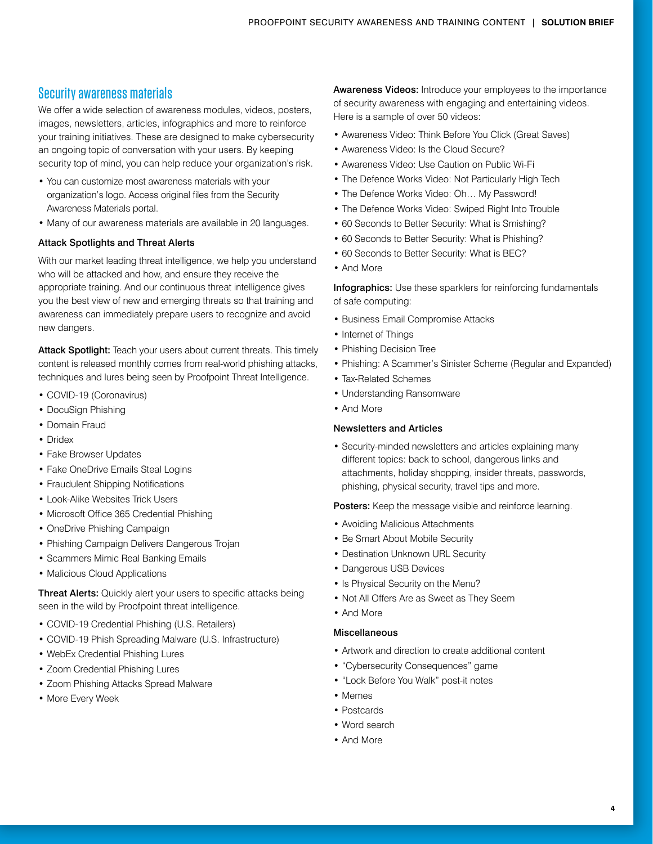# Security awareness materials

We offer a wide selection of awareness modules, videos, posters, images, newsletters, articles, infographics and more to reinforce your training initiatives. These are designed to make cybersecurity an ongoing topic of conversation with your users. By keeping security top of mind, you can help reduce your organization's risk.

- You can customize most awareness materials with your organization's logo. Access original files from the Security Awareness Materials portal.
- Many of our awareness materials are available in 20 languages.

# Attack Spotlights and Threat Alerts

With our market leading threat intelligence, we help you understand who will be attacked and how, and ensure they receive the appropriate training. And our continuous threat intelligence gives you the best view of new and emerging threats so that training and awareness can immediately prepare users to recognize and avoid new dangers.

Attack Spotlight: Teach your users about current threats. This timely content is released monthly comes from real-world phishing attacks, techniques and lures being seen by Proofpoint Threat Intelligence.

- COVID-19 (Coronavirus)
- DocuSign Phishing
- Domain Fraud
- Dridex
- Fake Browser Updates
- Fake OneDrive Emails Steal Logins
- Fraudulent Shipping Notifications
- Look-Alike Websites Trick Users
- Microsoft Office 365 Credential Phishing
- OneDrive Phishing Campaign
- Phishing Campaign Delivers Dangerous Trojan
- Scammers Mimic Real Banking Emails
- Malicious Cloud Applications

Threat Alerts: Quickly alert your users to specific attacks being seen in the wild by Proofpoint threat intelligence.

- COVID-19 Credential Phishing (U.S. Retailers)
- COVID-19 Phish Spreading Malware (U.S. Infrastructure)
- WebEx Credential Phishing Lures
- Zoom Credential Phishing Lures
- Zoom Phishing Attacks Spread Malware
- More Every Week

Awareness Videos: Introduce your employees to the importance of security awareness with engaging and entertaining videos. Here is a sample of over 50 videos:

- Awareness Video: Think Before You Click (Great Saves)
- Awareness Video: Is the Cloud Secure?
- Awareness Video: Use Caution on Public Wi-Fi
- The Defence Works Video: Not Particularly High Tech
- The Defence Works Video: Oh… My Password!
- The Defence Works Video: Swiped Right Into Trouble
- 60 Seconds to Better Security: What is Smishing?
- 60 Seconds to Better Security: What is Phishing?
- 60 Seconds to Better Security: What is BEC?
- And More

Infographics: Use these sparklers for reinforcing fundamentals of safe computing:

- Business Email Compromise Attacks
- Internet of Things
- Phishing Decision Tree
- Phishing: A Scammer's Sinister Scheme (Regular and Expanded)
- Tax-Related Schemes
- Understanding Ransomware
- And More

# Newsletters and Articles

• Security-minded newsletters and articles explaining many different topics: back to school, dangerous links and attachments, holiday shopping, insider threats, passwords, phishing, physical security, travel tips and more.

Posters: Keep the message visible and reinforce learning.

- Avoiding Malicious Attachments
- Be Smart About Mobile Security
- Destination Unknown URL Security
- Dangerous USB Devices
- Is Physical Security on the Menu?
- Not All Offers Are as Sweet as They Seem
- And More

# Miscellaneous

- Artwork and direction to create additional content
- "Cybersecurity Consequences" game
- "Lock Before You Walk" post-it notes
- Memes
- Postcards
- Word search
- And More